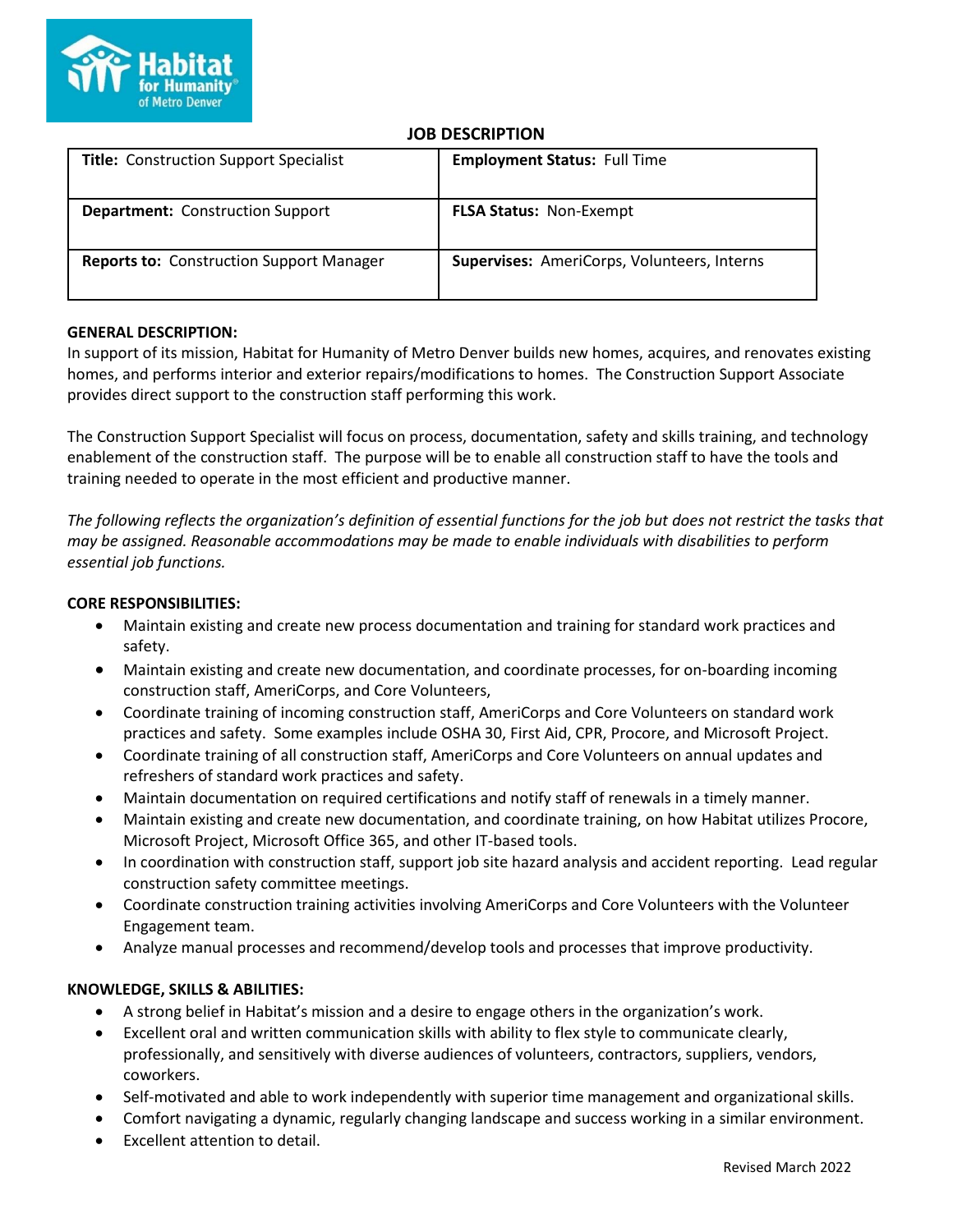

# **JOB DESCRIPTION**

| <b>Title: Construction Support Specialist</b>   | <b>Employment Status: Full Time</b>         |
|-------------------------------------------------|---------------------------------------------|
| <b>Department: Construction Support</b>         | <b>FLSA Status: Non-Exempt</b>              |
| <b>Reports to: Construction Support Manager</b> | Supervises: AmeriCorps, Volunteers, Interns |

## **GENERAL DESCRIPTION:**

In support of its mission, Habitat for Humanity of Metro Denver builds new homes, acquires, and renovates existing homes, and performs interior and exterior repairs/modifications to homes. The Construction Support Associate provides direct support to the construction staff performing this work.

The Construction Support Specialist will focus on process, documentation, safety and skills training, and technology enablement of the construction staff. The purpose will be to enable all construction staff to have the tools and training needed to operate in the most efficient and productive manner.

*The following reflects the organization's definition of essential functions for the job but does not restrict the tasks that may be assigned. Reasonable accommodations may be made to enable individuals with disabilities to perform essential job functions.*

## **CORE RESPONSIBILITIES:**

- Maintain existing and create new process documentation and training for standard work practices and safety.
- Maintain existing and create new documentation, and coordinate processes, for on-boarding incoming construction staff, AmeriCorps, and Core Volunteers,
- Coordinate training of incoming construction staff, AmeriCorps and Core Volunteers on standard work practices and safety. Some examples include OSHA 30, First Aid, CPR, Procore, and Microsoft Project.
- Coordinate training of all construction staff, AmeriCorps and Core Volunteers on annual updates and refreshers of standard work practices and safety.
- Maintain documentation on required certifications and notify staff of renewals in a timely manner.
- Maintain existing and create new documentation, and coordinate training, on how Habitat utilizes Procore, Microsoft Project, Microsoft Office 365, and other IT-based tools.
- In coordination with construction staff, support job site hazard analysis and accident reporting. Lead regular construction safety committee meetings.
- Coordinate construction training activities involving AmeriCorps and Core Volunteers with the Volunteer Engagement team.
- Analyze manual processes and recommend/develop tools and processes that improve productivity.

## **KNOWLEDGE, SKILLS & ABILITIES:**

- A strong belief in Habitat's mission and a desire to engage others in the organization's work.
- Excellent oral and written communication skills with ability to flex style to communicate clearly, professionally, and sensitively with diverse audiences of volunteers, contractors, suppliers, vendors, coworkers.
- Self-motivated and able to work independently with superior time management and organizational skills.
- Comfort navigating a dynamic, regularly changing landscape and success working in a similar environment.
- Excellent attention to detail.